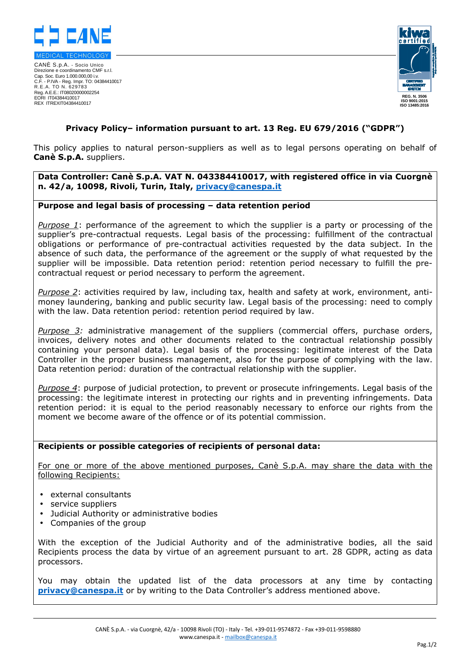

CANÈ S.p.A. - Socio Unico Direzione e coordinamento CMF s.r.l. Cap. Soc. Euro 1.000.000,00 i.v. C.F. - P.IVA - Reg. Impr. TO: 04384410017 R.E.A. TO N. 629783 Reg. A.E.E.: IT08020000002254 EORI IT04384410017 REX ITREXIT04384410017



# **Privacy Policy– information pursuant to art. 13 Reg. EU 679/2016 ("GDPR")**

This policy applies to natural person-suppliers as well as to legal persons operating on behalf of **Canè S.p.A.** suppliers.

**Data Controller: Canè S.p.A. VAT N. 043384410017, with registered office in via Cuorgnè n. 42/a, 10098, Rivoli, Turin, Italy, privacy@canespa.it** 

## **Purpose and legal basis of processing – data retention period**

*Purpose 1*: performance of the agreement to which the supplier is a party or processing of the supplier's pre-contractual requests. Legal basis of the processing: fulfillment of the contractual obligations or performance of pre-contractual activities requested by the data subject. In the absence of such data, the performance of the agreement or the supply of what requested by the supplier will be impossible. Data retention period: retention period necessary to fulfill the precontractual request or period necessary to perform the agreement.

*Purpose 2*: activities required by law, including tax, health and safety at work, environment, antimoney laundering, banking and public security law. Legal basis of the processing: need to comply with the law. Data retention period: retention period required by law.

*Purpose 3:* administrative management of the suppliers (commercial offers, purchase orders, invoices, delivery notes and other documents related to the contractual relationship possibly containing your personal data). Legal basis of the processing: legitimate interest of the Data Controller in the proper business management, also for the purpose of complying with the law. Data retention period: duration of the contractual relationship with the supplier.

*Purpose 4*: purpose of judicial protection, to prevent or prosecute infringements. Legal basis of the processing: the legitimate interest in protecting our rights and in preventing infringements. Data retention period: it is equal to the period reasonably necessary to enforce our rights from the moment we become aware of the offence or of its potential commission.

## **Recipients or possible categories of recipients of personal data:**

For one or more of the above mentioned purposes, Canè S.p.A. may share the data with the following Recipients:

- external consultants
- service suppliers
- Judicial Authority or administrative bodies
- Companies of the group

With the exception of the Judicial Authority and of the administrative bodies, all the said Recipients process the data by virtue of an agreement pursuant to art. 28 GDPR, acting as data processors.

You may obtain the updated list of the data processors at any time by contacting **privacy@canespa.it** or by writing to the Data Controller's address mentioned above.